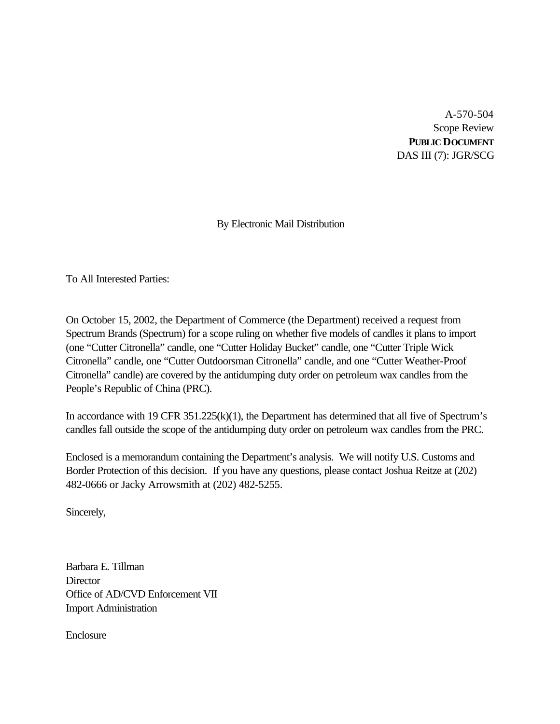A-570-504 Scope Review **PUBLIC DOCUMENT** DAS III (7): JGR/SCG

By Electronic Mail Distribution

To All Interested Parties:

On October 15, 2002, the Department of Commerce (the Department) received a request from Spectrum Brands (Spectrum) for a scope ruling on whether five models of candles it plans to import (one "Cutter Citronella" candle, one "Cutter Holiday Bucket" candle, one "Cutter Triple Wick Citronella" candle, one "Cutter Outdoorsman Citronella" candle, and one "Cutter Weather-Proof Citronella" candle) are covered by the antidumping duty order on petroleum wax candles from the People's Republic of China (PRC).

In accordance with 19 CFR 351.225(k)(1), the Department has determined that all five of Spectrum's candles fall outside the scope of the antidumping duty order on petroleum wax candles from the PRC.

Enclosed is a memorandum containing the Department's analysis. We will notify U.S. Customs and Border Protection of this decision. If you have any questions, please contact Joshua Reitze at (202) 482-0666 or Jacky Arrowsmith at (202) 482-5255.

Sincerely,

Barbara E. Tillman **Director** Office of AD/CVD Enforcement VII Import Administration

**Enclosure**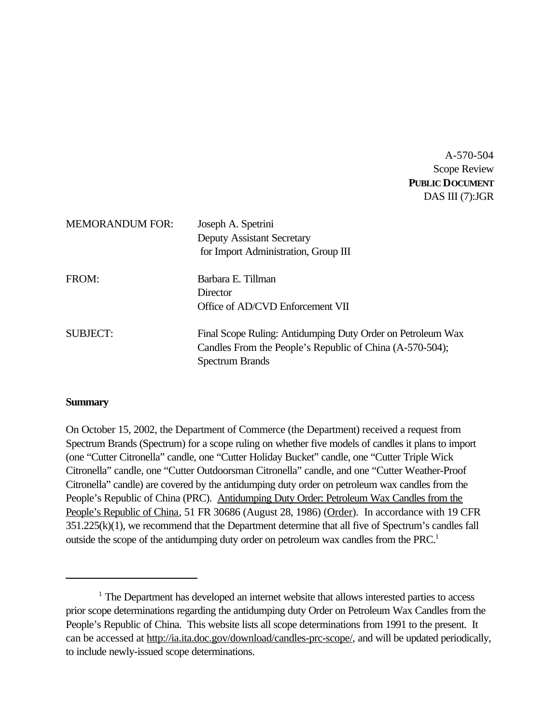A-570-504 Scope Review **PUBLIC DOCUMENT** DAS III (7):JGR

| <b>MEMORANDUM FOR:</b> | Joseph A. Spetrini<br><b>Deputy Assistant Secretary</b><br>for Import Administration, Group III                                                   |
|------------------------|---------------------------------------------------------------------------------------------------------------------------------------------------|
| FROM:                  | Barbara E. Tillman<br>Director<br>Office of AD/CVD Enforcement VII                                                                                |
| SUBJECT:               | Final Scope Ruling: Antidumping Duty Order on Petroleum Wax<br>Candles From the People's Republic of China (A-570-504);<br><b>Spectrum Brands</b> |

### **Summary**

On October 15, 2002, the Department of Commerce (the Department) received a request from Spectrum Brands (Spectrum) for a scope ruling on whether five models of candles it plans to import (one "Cutter Citronella" candle, one "Cutter Holiday Bucket" candle, one "Cutter Triple Wick Citronella" candle, one "Cutter Outdoorsman Citronella" candle, and one "Cutter Weather-Proof Citronella" candle) are covered by the antidumping duty order on petroleum wax candles from the People's Republic of China (PRC). Antidumping Duty Order: Petroleum Wax Candles from the People's Republic of China, 51 FR 30686 (August 28, 1986) (Order). In accordance with 19 CFR 351.225(k)(1), we recommend that the Department determine that all five of Spectrum's candles fall outside the scope of the antidumping duty order on petroleum wax candles from the PRC.<sup>1</sup>

<sup>&</sup>lt;sup>1</sup> The Department has developed an internet website that allows interested parties to access prior scope determinations regarding the antidumping duty Order on Petroleum Wax Candles from the People's Republic of China. This website lists all scope determinations from 1991 to the present. It can be accessed at http://ia.ita.doc.gov/download/candles-prc-scope/, and will be updated periodically, to include newly-issued scope determinations.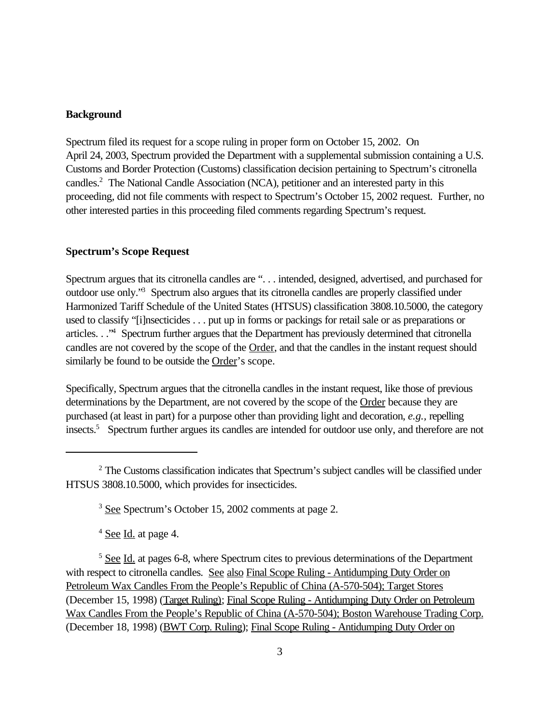#### **Background**

Spectrum filed its request for a scope ruling in proper form on October 15, 2002. On April 24, 2003, Spectrum provided the Department with a supplemental submission containing a U.S. Customs and Border Protection (Customs) classification decision pertaining to Spectrum's citronella candles.<sup>2</sup> The National Candle Association (NCA), petitioner and an interested party in this proceeding, did not file comments with respect to Spectrum's October 15, 2002 request. Further, no other interested parties in this proceeding filed comments regarding Spectrum's request.

### **Spectrum's Scope Request**

Spectrum argues that its citronella candles are ". . . intended, designed, advertised, and purchased for outdoor use only."<sup>3</sup> Spectrum also argues that its citronella candles are properly classified under Harmonized Tariff Schedule of the United States (HTSUS) classification 3808.10.5000, the category used to classify "[i]nsecticides . . . put up in forms or packings for retail sale or as preparations or articles. . ."<sup>4</sup> Spectrum further argues that the Department has previously determined that citronella candles are not covered by the scope of the Order, and that the candles in the instant request should similarly be found to be outside the Order's scope.

Specifically, Spectrum argues that the citronella candles in the instant request, like those of previous determinations by the Department, are not covered by the scope of the Order because they are purchased (at least in part) for a purpose other than providing light and decoration, *e.g.,* repelling insects.<sup>5</sup> Spectrum further argues its candles are intended for outdoor use only, and therefore are not

<sup>4</sup> See Id. at page 4.

<sup>5</sup> See Id. at pages 6-8, where Spectrum cites to previous determinations of the Department with respect to citronella candles. See also Final Scope Ruling - Antidumping Duty Order on Petroleum Wax Candles From the People's Republic of China (A-570-504); Target Stores (December 15, 1998) (Target Ruling); Final Scope Ruling - Antidumping Duty Order on Petroleum Wax Candles From the People's Republic of China (A-570-504); Boston Warehouse Trading Corp. (December 18, 1998) (BWT Corp. Ruling); Final Scope Ruling - Antidumping Duty Order on

<sup>&</sup>lt;sup>2</sup> The Customs classification indicates that Spectrum's subject candles will be classified under HTSUS 3808.10.5000, which provides for insecticides.

<sup>3</sup> See Spectrum's October 15, 2002 comments at page 2.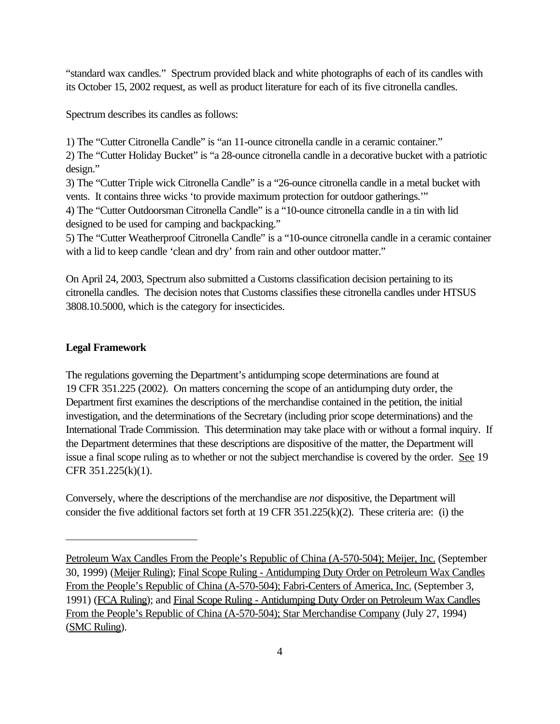"standard wax candles." Spectrum provided black and white photographs of each of its candles with its October 15, 2002 request, as well as product literature for each of its five citronella candles.

Spectrum describes its candles as follows:

1) The "Cutter Citronella Candle" is "an 11-ounce citronella candle in a ceramic container." 2) The "Cutter Holiday Bucket" is "a 28-ounce citronella candle in a decorative bucket with a patriotic design."

3) The "Cutter Triple wick Citronella Candle" is a "26-ounce citronella candle in a metal bucket with vents. It contains three wicks 'to provide maximum protection for outdoor gatherings.'"

4) The "Cutter Outdoorsman Citronella Candle" is a "10-ounce citronella candle in a tin with lid designed to be used for camping and backpacking."

5) The "Cutter Weatherproof Citronella Candle" is a "10-ounce citronella candle in a ceramic container with a lid to keep candle 'clean and dry' from rain and other outdoor matter."

On April 24, 2003, Spectrum also submitted a Customs classification decision pertaining to its citronella candles. The decision notes that Customs classifies these citronella candles under HTSUS 3808.10.5000, which is the category for insecticides.

### **Legal Framework**

The regulations governing the Department's antidumping scope determinations are found at 19 CFR 351.225 (2002). On matters concerning the scope of an antidumping duty order, the Department first examines the descriptions of the merchandise contained in the petition, the initial investigation, and the determinations of the Secretary (including prior scope determinations) and the International Trade Commission. This determination may take place with or without a formal inquiry. If the Department determines that these descriptions are dispositive of the matter, the Department will issue a final scope ruling as to whether or not the subject merchandise is covered by the order. See 19 CFR 351.225(k)(1).

Conversely, where the descriptions of the merchandise are *not* dispositive, the Department will consider the five additional factors set forth at 19 CFR 351.225(k)(2). These criteria are: (i) the

Petroleum Wax Candles From the People's Republic of China (A-570-504); Meijer, Inc. (September 30, 1999) (Meijer Ruling); Final Scope Ruling - Antidumping Duty Order on Petroleum Wax Candles From the People's Republic of China (A-570-504); Fabri-Centers of America, Inc. (September 3, 1991) (FCA Ruling); and Final Scope Ruling - Antidumping Duty Order on Petroleum Wax Candles From the People's Republic of China (A-570-504); Star Merchandise Company (July 27, 1994) (SMC Ruling).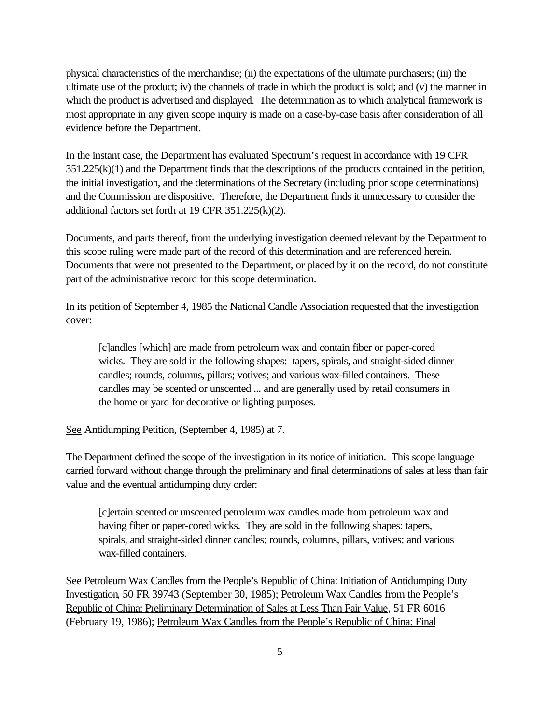physical characteristics of the merchandise; (ii) the expectations of the ultimate purchasers; (iii) the ultimate use of the product; iv) the channels of trade in which the product is sold; and (v) the manner in which the product is advertised and displayed. The determination as to which analytical framework is most appropriate in any given scope inquiry is made on a case-by-case basis after consideration of all evidence before the Department.

In the instant case, the Department has evaluated Spectrum's request in accordance with 19 CFR 351.225(k)(1) and the Department finds that the descriptions of the products contained in the petition, the initial investigation, and the determinations of the Secretary (including prior scope determinations) and the Commission are dispositive. Therefore, the Department finds it unnecessary to consider the additional factors set forth at 19 CFR 351.225(k)(2).

Documents, and parts thereof, from the underlying investigation deemed relevant by the Department to this scope ruling were made part of the record of this determination and are referenced herein. Documents that were not presented to the Department, or placed by it on the record, do not constitute part of the administrative record for this scope determination.

In its petition of September 4, 1985 the National Candle Association requested that the investigation cover:

[c]andles [which] are made from petroleum wax and contain fiber or paper-cored wicks. They are sold in the following shapes: tapers, spirals, and straight-sided dinner candles; rounds, columns, pillars; votives; and various wax-filled containers. These candles may be scented or unscented ... and are generally used by retail consumers in the home or yard for decorative or lighting purposes.

See Antidumping Petition, (September 4, 1985) at 7.

The Department defined the scope of the investigation in its notice of initiation. This scope language carried forward without change through the preliminary and final determinations of sales at less than fair value and the eventual antidumping duty order:

[c]ertain scented or unscented petroleum wax candles made from petroleum wax and having fiber or paper-cored wicks. They are sold in the following shapes: tapers, spirals, and straight-sided dinner candles; rounds, columns, pillars, votives; and various wax-filled containers.

See Petroleum Wax Candles from the People's Republic of China: Initiation of Antidumping Duty Investigation, 50 FR 39743 (September 30, 1985); Petroleum Wax Candles from the People's Republic of China: Preliminary Determination of Sales at Less Than Fair Value, 51 FR 6016 (February 19, 1986); Petroleum Wax Candles from the People's Republic of China: Final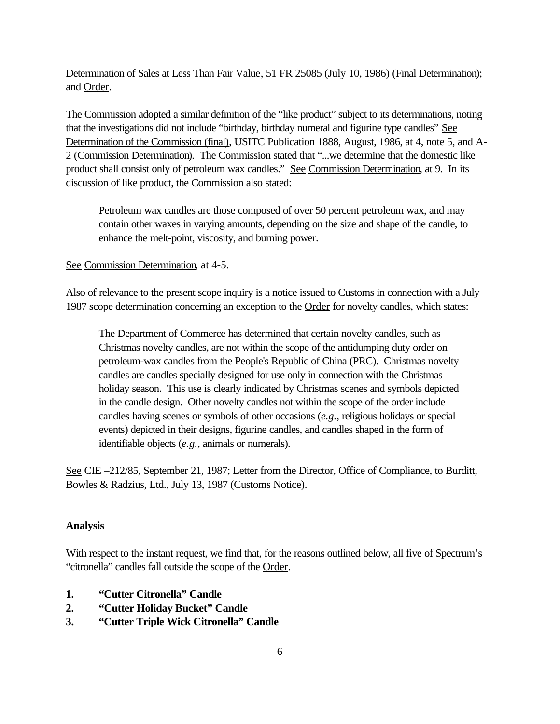Determination of Sales at Less Than Fair Value, 51 FR 25085 (July 10, 1986) (Final Determination); and Order.

The Commission adopted a similar definition of the "like product" subject to its determinations, noting that the investigations did not include "birthday, birthday numeral and figurine type candles" See Determination of the Commission (final), USITC Publication 1888, August, 1986, at 4, note 5, and A-2 (Commission Determination). The Commission stated that "...we determine that the domestic like product shall consist only of petroleum wax candles." See Commission Determination, at 9. In its discussion of like product, the Commission also stated:

Petroleum wax candles are those composed of over 50 percent petroleum wax, and may contain other waxes in varying amounts, depending on the size and shape of the candle, to enhance the melt-point, viscosity, and burning power.

See Commission Determination, at 4-5.

Also of relevance to the present scope inquiry is a notice issued to Customs in connection with a July 1987 scope determination concerning an exception to the Order for novelty candles, which states:

The Department of Commerce has determined that certain novelty candles, such as Christmas novelty candles, are not within the scope of the antidumping duty order on petroleum-wax candles from the People's Republic of China (PRC). Christmas novelty candles are candles specially designed for use only in connection with the Christmas holiday season. This use is clearly indicated by Christmas scenes and symbols depicted in the candle design. Other novelty candles not within the scope of the order include candles having scenes or symbols of other occasions (*e.g.*, religious holidays or special events) depicted in their designs, figurine candles, and candles shaped in the form of identifiable objects (*e.g.*, animals or numerals).

See CIE –212/85, September 21, 1987; Letter from the Director, Office of Compliance, to Burditt, Bowles & Radzius, Ltd., July 13, 1987 (Customs Notice).

## **Analysis**

With respect to the instant request, we find that, for the reasons outlined below, all five of Spectrum's "citronella" candles fall outside the scope of the Order.

- **1. "Cutter Citronella" Candle**
- **2. "Cutter Holiday Bucket" Candle**
- **3. "Cutter Triple Wick Citronella" Candle**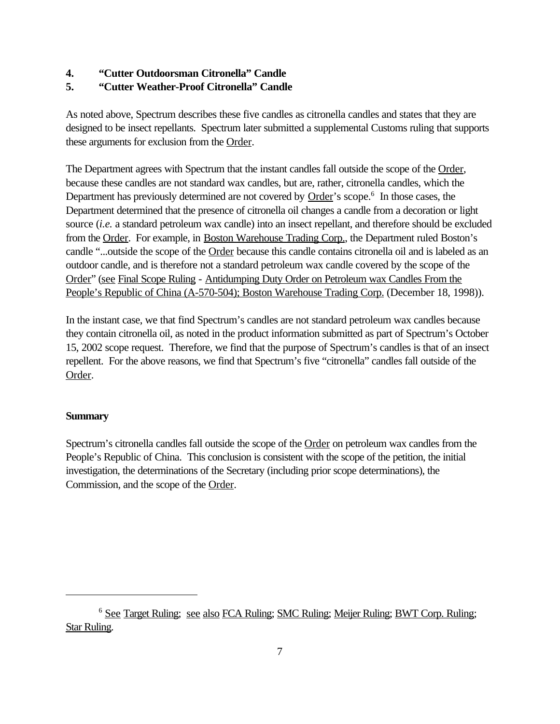## **4. "Cutter Outdoorsman Citronella" Candle**

# **5. "Cutter Weather-Proof Citronella" Candle**

As noted above, Spectrum describes these five candles as citronella candles and states that they are designed to be insect repellants. Spectrum later submitted a supplemental Customs ruling that supports these arguments for exclusion from the Order.

The Department agrees with Spectrum that the instant candles fall outside the scope of the Order, because these candles are not standard wax candles, but are, rather, citronella candles, which the Department has previously determined are not covered by Order's scope.<sup>6</sup> In those cases, the Department determined that the presence of citronella oil changes a candle from a decoration or light source *(i.e.* a standard petroleum wax candle) into an insect repellant, and therefore should be excluded from the Order. For example, in Boston Warehouse Trading Corp., the Department ruled Boston's candle "...outside the scope of the **Order** because this candle contains citronella oil and is labeled as an outdoor candle, and is therefore not a standard petroleum wax candle covered by the scope of the Order" (see Final Scope Ruling - Antidumping Duty Order on Petroleum wax Candles From the People's Republic of China (A-570-504); Boston Warehouse Trading Corp. (December 18, 1998)).

In the instant case, we that find Spectrum's candles are not standard petroleum wax candles because they contain citronella oil, as noted in the product information submitted as part of Spectrum's October 15, 2002 scope request. Therefore, we find that the purpose of Spectrum's candles is that of an insect repellent. For the above reasons, we find that Spectrum's five "citronella" candles fall outside of the Order.

## **Summary**

Spectrum's citronella candles fall outside the scope of the Order on petroleum wax candles from the People's Republic of China. This conclusion is consistent with the scope of the petition, the initial investigation, the determinations of the Secretary (including prior scope determinations), the Commission, and the scope of the Order.

<sup>&</sup>lt;sup>6</sup> See Target Ruling; see also FCA Ruling; SMC Ruling; Meijer Ruling; BWT Corp. Ruling; Star Ruling.